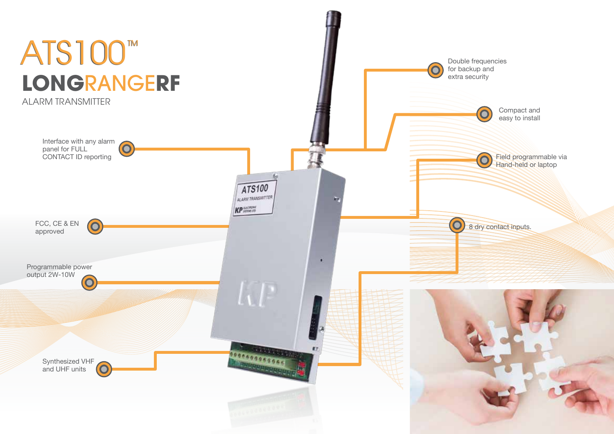